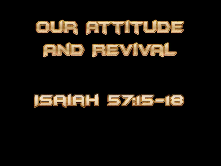

# **JSAIRH 5715-18**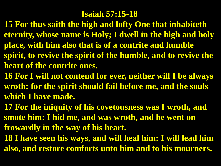### **Isaiah 57:15-18**

- **15 For thus saith the high and lofty One that inhabiteth eternity, whose name is Holy; I dwell in the high and holy place, with him also that is of a contrite and humble spirit, to revive the spirit of the humble, and to revive the heart of the contrite ones.**
- **16 For I will not contend for ever, neither will I be always wroth: for the spirit should fail before me, and the souls which I have made.**
- **17 For the iniquity of his covetousness was I wroth, and smote him: I hid me, and was wroth, and he went on frowardly in the way of his heart.**
- **18 I have seen his ways, and will heal him: I will lead him also, and restore comforts unto him and to his mourners.**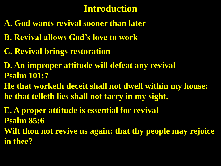# **Introduction**

- **A. God wants revival sooner than later**
- **B. Revival allows God's love to work**
- **C. Revival brings restoration**
- **D. An improper attitude will defeat any revival Psalm 101:7**
- **He that worketh deceit shall not dwell within my house: he that telleth lies shall not tarry in my sight.**

**E. A proper attitude is essential for revival Psalm 85:6 Wilt thou not revive us again: that thy people may rejoice in thee?**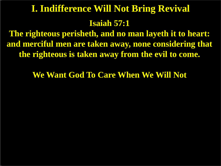# **Isaiah 57:1 I. Indifference Will Not Bring Revival**

**The righteous perisheth, and no man layeth it to heart: and merciful men are taken away, none considering that the righteous is taken away from the evil to come.**

**We Want God To Care When We Will Not**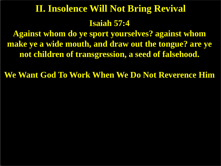# **Isaiah 57:4 II. Insolence Will Not Bring Revival**

**Against whom do ye sport yourselves? against whom make ye a wide mouth, and draw out the tongue? are ye not children of transgression, a seed of falsehood.**

**We Want God To Work When We Do Not Reverence Him**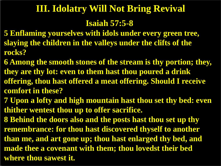# **III. Idolatry Will Not Bring Revival**

#### **Isaiah 57:5-8**

- **5 Enflaming yourselves with idols under every green tree, slaying the children in the valleys under the clifts of the rocks?**
- **6 Among the smooth stones of the stream is thy portion; they, they are thy lot: even to them hast thou poured a drink offering, thou hast offered a meat offering. Should I receive comfort in these?**
- **7 Upon a lofty and high mountain hast thou set thy bed: even thither wentest thou up to offer sacrifice.**
- **8 Behind the doors also and the posts hast thou set up thy remembrance: for thou hast discovered thyself to another than me, and art gone up; thou hast enlarged thy bed, and made thee a covenant with them; thou lovedst their bed where thou sawest it.**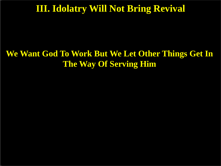# **III. Idolatry Will Not Bring Revival**

# **We Want God To Work But We Let Other Things Get In The Way Of Serving Him**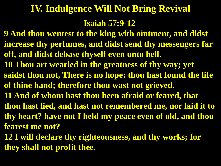# **IV. Indulgence Will Not Bring Revival**

#### **Isaiah 57:9-12**

- **9 And thou wentest to the king with ointment, and didst increase thy perfumes, and didst send thy messengers far off, and didst debase thyself even unto hell.**
- **10 Thou art wearied in the greatness of thy way; yet saidst thou not, There is no hope: thou hast found the life of thine hand; therefore thou wast not grieved.**
- **11 And of whom hast thou been afraid or feared, that**
- **thou hast lied, and hast not remembered me, nor laid it to thy heart? have not I held my peace even of old, and thou fearest me not?**
- **12 I will declare thy righteousness, and thy works; for they shall not profit thee.**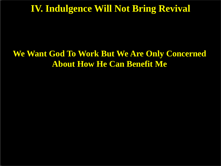# **IV. Indulgence Will Not Bring Revival**

## **We Want God To Work But We Are Only Concerned About How He Can Benefit Me**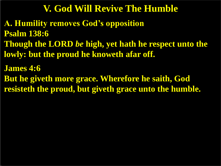# **V. God Will Revive The Humble**

**A. Humility removes God's opposition Psalm 138:6 Though the LORD** *be* **high, yet hath he respect unto the lowly: but the proud he knoweth afar off.** 

**James 4:6**

**But he giveth more grace. Wherefore he saith, God resisteth the proud, but giveth grace unto the humble.**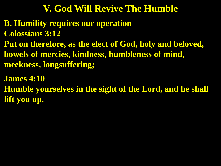# **V. God Will Revive The Humble**

**B. Humility requires our operation Colossians 3:12 Put on therefore, as the elect of God, holy and beloved, bowels of mercies, kindness, humbleness of mind, meekness, longsuffering;**

**James 4:10 Humble yourselves in the sight of the Lord, and he shall lift you up.**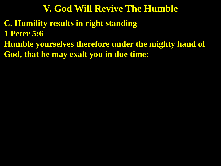# **V. God Will Revive The Humble**

**C. Humility results in right standing 1 Peter 5:6 Humble yourselves therefore under the mighty hand of God, that he may exalt you in due time:**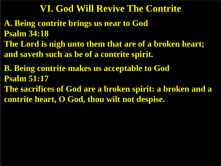# **VI. God Will Revive The Contrite**

- **A. Being contrite brings us near to God Psalm 34:18**
- **The Lord is nigh unto them that are of a broken heart; and saveth such as be of a contrite spirit.**
- **B. Being contrite makes us acceptable to God Psalm 51:17**
- **The sacrifices of God are a broken spirit: a broken and a contrite heart, O God, thou wilt not despise.**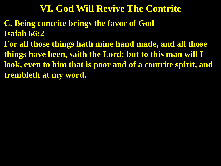# **VI. God Will Revive The Contrite**

- **C. Being contrite brings the favor of God Isaiah 66:2**
- **For all those things hath mine hand made, and all those things have been, saith the Lord: but to this man will I look, even to him that is poor and of a contrite spirit, and trembleth at my word.**